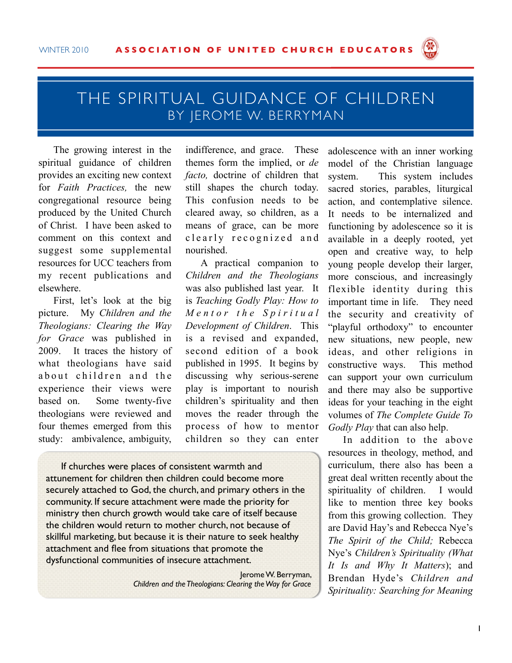

## THE SPIRITUAL GUIDANCE OF CHILDREN BY JEROME W. BERRYMAN

The growing interest in the spiritual guidance of children provides an exciting new context for *Faith Practices,* the new congregational resource being produced by the United Church of Christ. I have been asked to comment on this context and suggest some supplemental resources for UCC teachers from my recent publications and elsewhere.

First, let's look at the big picture. My *Children and the Theologians: Clearing the Way for Grace* was published in 2009. It traces the history of what theologians have said about children and the experience their views were based on. Some twenty-five theologians were reviewed and four themes emerged from this study: ambivalence, ambiguity,

indifference, and grace. These themes form the implied, or *de facto,* doctrine of children that still shapes the church today. This confusion needs to be cleared away, so children, as a means of grace, can be more clearly recognized and nourished.

A practical companion to *Children and the Theologians* was also published last year. It is *Teaching Godly Play: How to M e n t o r t h e S p i r i t u a l Development of Children*. This is a revised and expanded, second edition of a book published in 1995. It begins by discussing why serious-serene play is important to nourish children's spirituality and then moves the reader through the process of how to mentor children so they can enter

If churches were places of consistent warmth and attunement for children then children could become more securely attached to God, the church, and primary others in the community. If secure attachment were made the priority for ministry then church growth would take care of itself because the children would return to mother church, not because of skillful marketing, but because it is their nature to seek healthy attachment and flee from situations that promote the dysfunctional communities of insecure attachment.

> Jerome W. Berryman, *Children and the Theologians: Clearing the Way for Grace*

adolescence with an inner working model of the Christian language system. This system includes sacred stories, parables, liturgical action, and contemplative silence. It needs to be internalized and functioning by adolescence so it is available in a deeply rooted, yet open and creative way, to help young people develop their larger, more conscious, and increasingly flexible identity during this important time in life. They need the security and creativity of "playful orthodoxy" to encounter new situations, new people, new ideas, and other religions in constructive ways. This method can support your own curriculum and there may also be supportive ideas for your teaching in the eight volumes of *The Complete Guide To Godly Play* that can also help.

In addition to the above resources in theology, method, and curriculum, there also has been a great deal written recently about the spirituality of children. I would like to mention three key books from this growing collection. They are David Hay's and Rebecca Nye's *The Spirit of the Child;* Rebecca Nye's *Children's Spirituality (What It Is and Why It Matters*); and Brendan Hyde's *Children and Spirituality: Searching for Meaning*